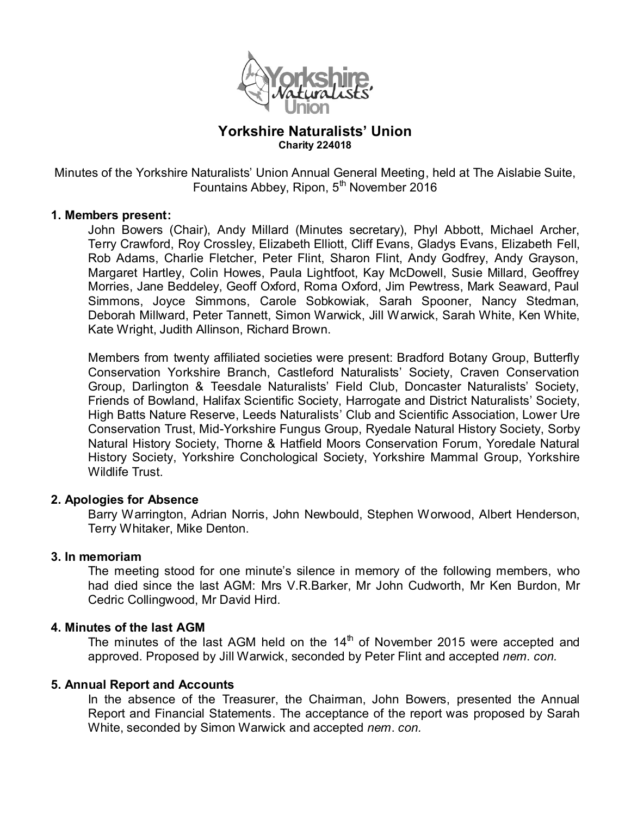

# **Yorkshire Naturalists' Union Charity 224018**

Minutes of the Yorkshire Naturalists' Union Annual General Meeting, held at The Aislabie Suite, Fountains Abbey, Ripon,  $5<sup>th</sup>$  November 2016

### **1. Members present:**

John Bowers (Chair), Andy Millard (Minutes secretary), Phyl Abbott, Michael Archer, Terry Crawford, Roy Crossley, Elizabeth Elliott, Cliff Evans, Gladys Evans, Elizabeth Fell, Rob Adams, Charlie Fletcher, Peter Flint, Sharon Flint, Andy Godfrey, Andy Grayson, Margaret Hartley, Colin Howes, Paula Lightfoot, Kay McDowell, Susie Millard, Geoffrey Morries, Jane Beddeley, Geoff Oxford, Roma Oxford, Jim Pewtress, Mark Seaward, Paul Simmons, Joyce Simmons, Carole Sobkowiak, Sarah Spooner, Nancy Stedman, Deborah Millward, Peter Tannett, Simon Warwick, Jill Warwick, Sarah White, Ken White, Kate Wright, Judith Allinson, Richard Brown.

Members from twenty affiliated societies were present: Bradford Botany Group, Butterfly Conservation Yorkshire Branch, Castleford Naturalists' Society, Craven Conservation Group, Darlington & Teesdale Naturalists' Field Club, Doncaster Naturalists' Society, Friends of Bowland, Halifax Scientific Society, Harrogate and District Naturalists' Society, High Batts Nature Reserve, Leeds Naturalists' Club and Scientific Association, Lower Ure Conservation Trust, Mid-Yorkshire Fungus Group, Ryedale Natural History Society, Sorby Natural History Society, Thorne & Hatfield Moors Conservation Forum, Yoredale Natural History Society, Yorkshire Conchological Society, Yorkshire Mammal Group, Yorkshire Wildlife Trust.

### **2. Apologies for Absence**

Barry Warrington, Adrian Norris, John Newbould, Stephen Worwood, Albert Henderson, Terry Whitaker, Mike Denton.

### **3. In memoriam**

The meeting stood for one minute's silence in memory of the following members, who had died since the last AGM: Mrs V.R.Barker, Mr John Cudworth, Mr Ken Burdon, Mr Cedric Collingwood, Mr David Hird.

### **4. Minutes of the last AGM**

The minutes of the last AGM held on the  $14<sup>th</sup>$  of November 2015 were accepted and approved. Proposed by Jill Warwick, seconded by Peter Flint and accepted *nem*. *con.* 

### **5. Annual Report and Accounts**

In the absence of the Treasurer, the Chairman, John Bowers, presented the Annual Report and Financial Statements. The acceptance of the report was proposed by Sarah White, seconded by Simon Warwick and accepted *nem*. *con.*